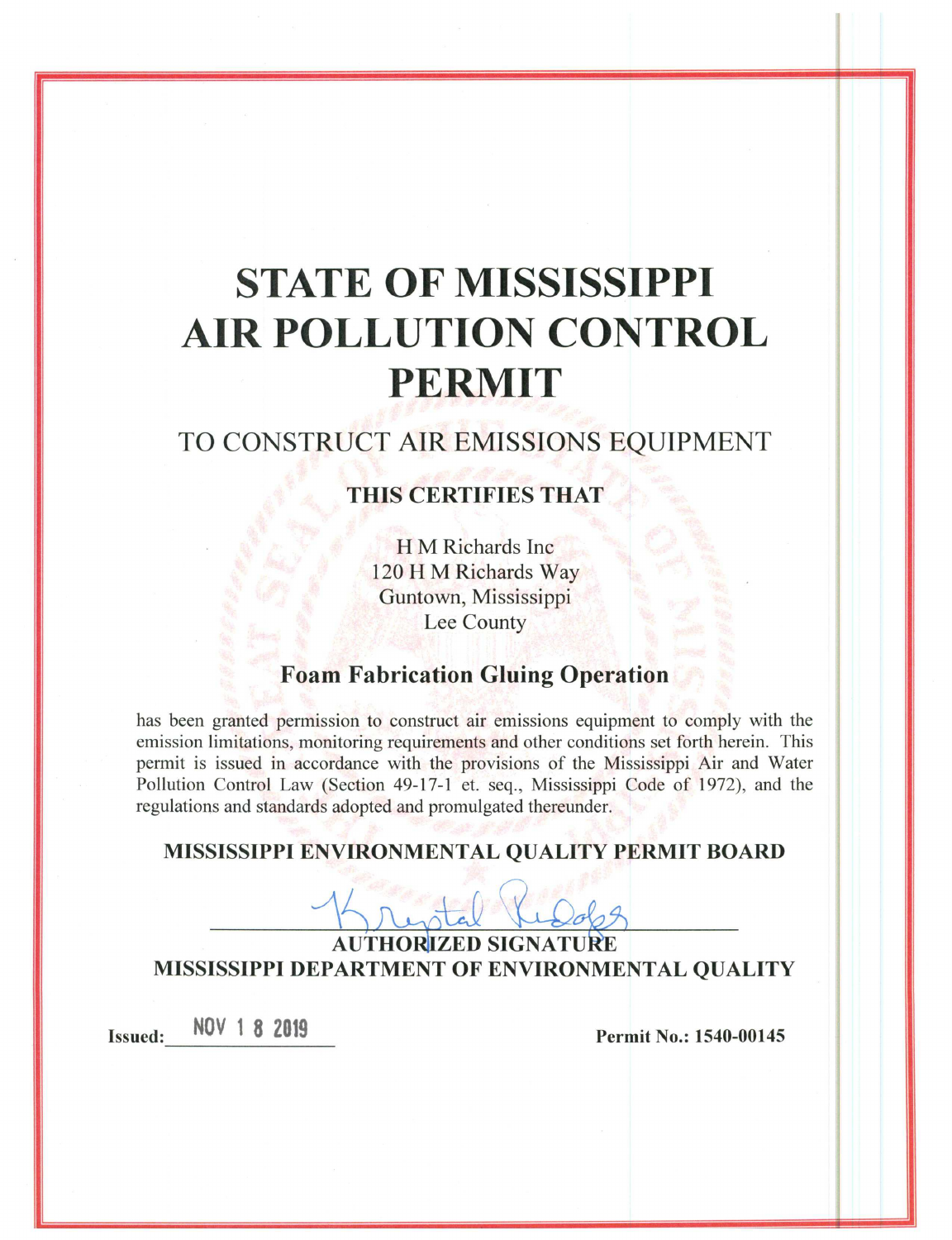# **STATE OF MISSISSIPPI AIR POLLUTION CONTROL PERMIT**

# TO CONSTRUCT AIR EMISSIONS EQUIPMENT

### THIS CERTIFIES THAT

H M Richards Inc 120 H M Richards Way Guntown, Mississippi Lee County

## **Foam Fabrication Gluing Operation**

has been granted permission to construct air emissions equipment to comply with the emission limitations, monitoring requirements and other conditions set forth herein. This permit is issued in accordance with the provisions of the Mississippi Air and Water Pollution Control Law (Section 49-17-1 et. seq., Mississippi Code of 1972), and the regulations and standards adopted and promulgated thereunder.

#### MISSISSIPPI ENVIRONMENTAL QUALITY PERMIT BOARD

**AUTHORIZED SIGNATURE** MISSISSIPPI DEPARTMENT OF ENVIRONMENTAL QUALITY

NOV 1 8 2019 **Issued:** 

Permit No.: 1540-00145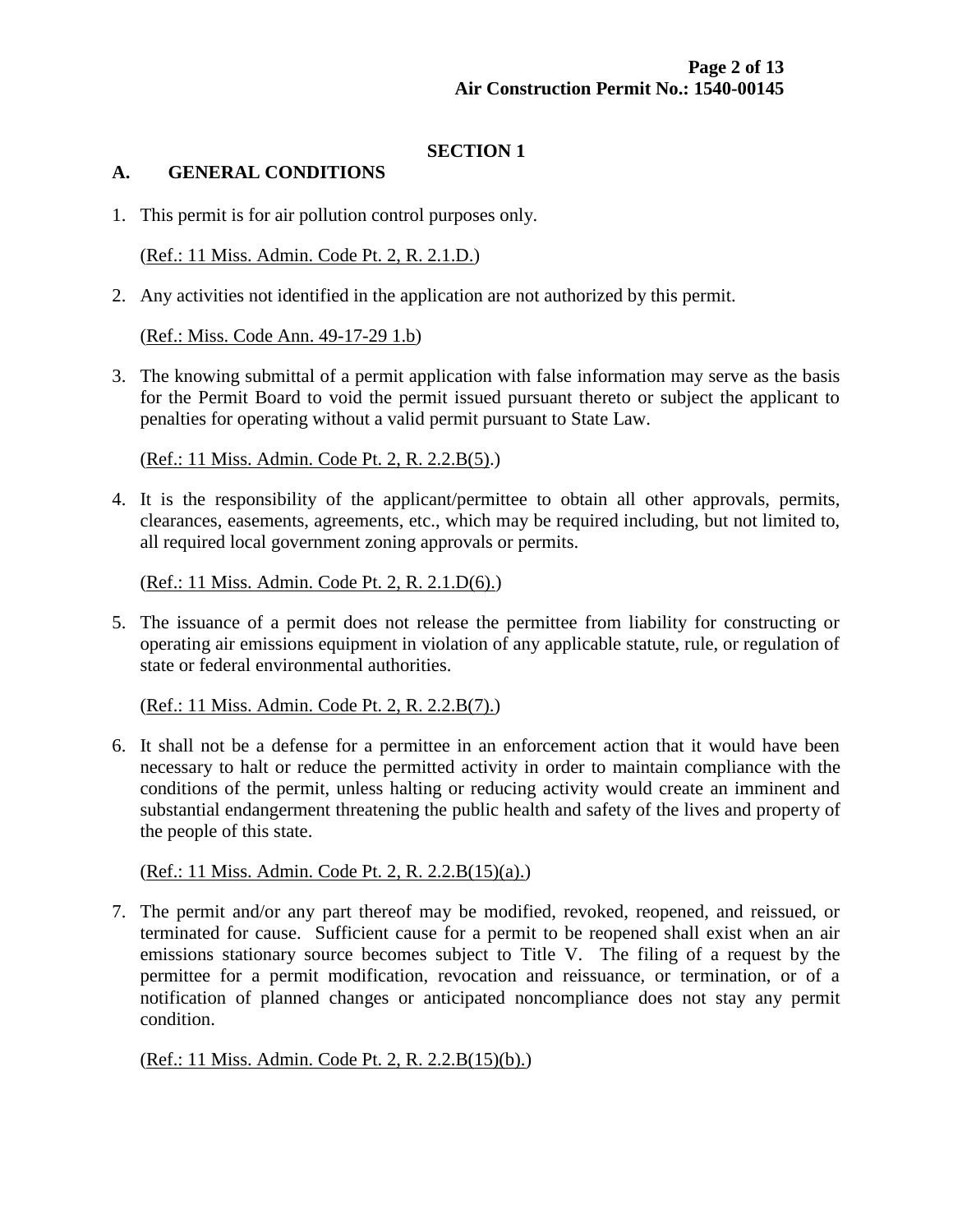#### **SECTION 1**

#### **A. GENERAL CONDITIONS**

1. This permit is for air pollution control purposes only.

(Ref.: 11 Miss. Admin. Code Pt. 2, R. 2.1.D.)

2. Any activities not identified in the application are not authorized by this permit.

(Ref.: Miss. Code Ann. 49-17-29 1.b)

3. The knowing submittal of a permit application with false information may serve as the basis for the Permit Board to void the permit issued pursuant thereto or subject the applicant to penalties for operating without a valid permit pursuant to State Law.

(Ref.: 11 Miss. Admin. Code Pt. 2, R. 2.2.B(5).)

4. It is the responsibility of the applicant/permittee to obtain all other approvals, permits, clearances, easements, agreements, etc., which may be required including, but not limited to, all required local government zoning approvals or permits.

(Ref.: 11 Miss. Admin. Code Pt. 2, R. 2.1.D(6).)

5. The issuance of a permit does not release the permittee from liability for constructing or operating air emissions equipment in violation of any applicable statute, rule, or regulation of state or federal environmental authorities.

(Ref.: 11 Miss. Admin. Code Pt. 2, R. 2.2.B(7).)

6. It shall not be a defense for a permittee in an enforcement action that it would have been necessary to halt or reduce the permitted activity in order to maintain compliance with the conditions of the permit, unless halting or reducing activity would create an imminent and substantial endangerment threatening the public health and safety of the lives and property of the people of this state.

(Ref.: 11 Miss. Admin. Code Pt. 2, R. 2.2.B(15)(a).)

7. The permit and/or any part thereof may be modified, revoked, reopened, and reissued, or terminated for cause. Sufficient cause for a permit to be reopened shall exist when an air emissions stationary source becomes subject to Title V. The filing of a request by the permittee for a permit modification, revocation and reissuance, or termination, or of a notification of planned changes or anticipated noncompliance does not stay any permit condition.

(Ref.: 11 Miss. Admin. Code Pt. 2, R. 2.2.B(15)(b).)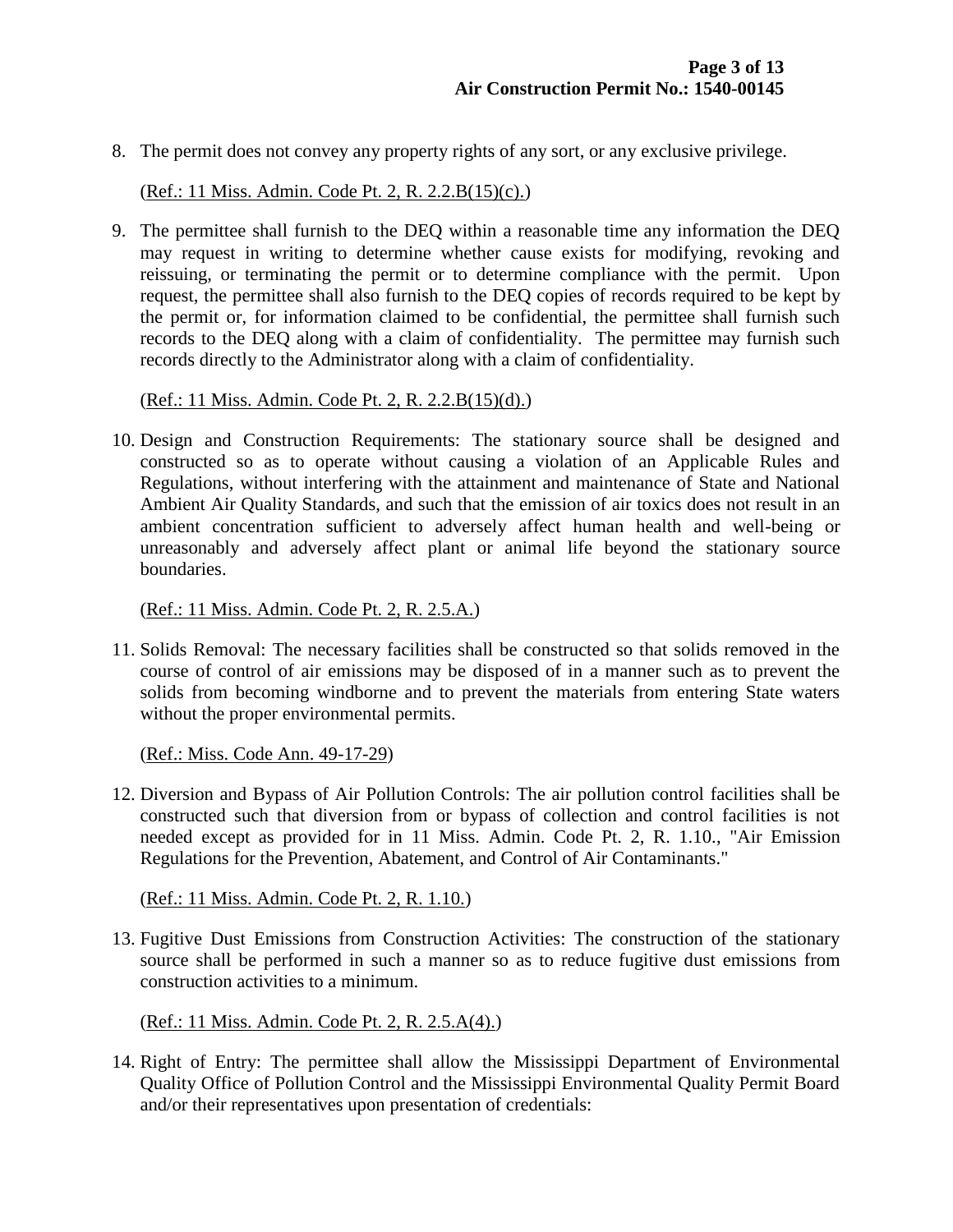8. The permit does not convey any property rights of any sort, or any exclusive privilege.

(Ref.: 11 Miss. Admin. Code Pt. 2, R. 2.2.B(15)(c).)

9. The permittee shall furnish to the DEQ within a reasonable time any information the DEQ may request in writing to determine whether cause exists for modifying, revoking and reissuing, or terminating the permit or to determine compliance with the permit. Upon request, the permittee shall also furnish to the DEQ copies of records required to be kept by the permit or, for information claimed to be confidential, the permittee shall furnish such records to the DEQ along with a claim of confidentiality. The permittee may furnish such records directly to the Administrator along with a claim of confidentiality.

(Ref.: 11 Miss. Admin. Code Pt. 2, R. 2.2.B(15)(d).)

10. Design and Construction Requirements: The stationary source shall be designed and constructed so as to operate without causing a violation of an Applicable Rules and Regulations, without interfering with the attainment and maintenance of State and National Ambient Air Quality Standards, and such that the emission of air toxics does not result in an ambient concentration sufficient to adversely affect human health and well-being or unreasonably and adversely affect plant or animal life beyond the stationary source boundaries.

(Ref.: 11 Miss. Admin. Code Pt. 2, R. 2.5.A.)

11. Solids Removal: The necessary facilities shall be constructed so that solids removed in the course of control of air emissions may be disposed of in a manner such as to prevent the solids from becoming windborne and to prevent the materials from entering State waters without the proper environmental permits.

(Ref.: Miss. Code Ann. 49-17-29)

12. Diversion and Bypass of Air Pollution Controls: The air pollution control facilities shall be constructed such that diversion from or bypass of collection and control facilities is not needed except as provided for in 11 Miss. Admin. Code Pt. 2, R. 1.10., "Air Emission Regulations for the Prevention, Abatement, and Control of Air Contaminants."

(Ref.: 11 Miss. Admin. Code Pt. 2, R. 1.10.)

13. Fugitive Dust Emissions from Construction Activities: The construction of the stationary source shall be performed in such a manner so as to reduce fugitive dust emissions from construction activities to a minimum.

(Ref.: 11 Miss. Admin. Code Pt. 2, R. 2.5.A(4).)

14. Right of Entry: The permittee shall allow the Mississippi Department of Environmental Quality Office of Pollution Control and the Mississippi Environmental Quality Permit Board and/or their representatives upon presentation of credentials: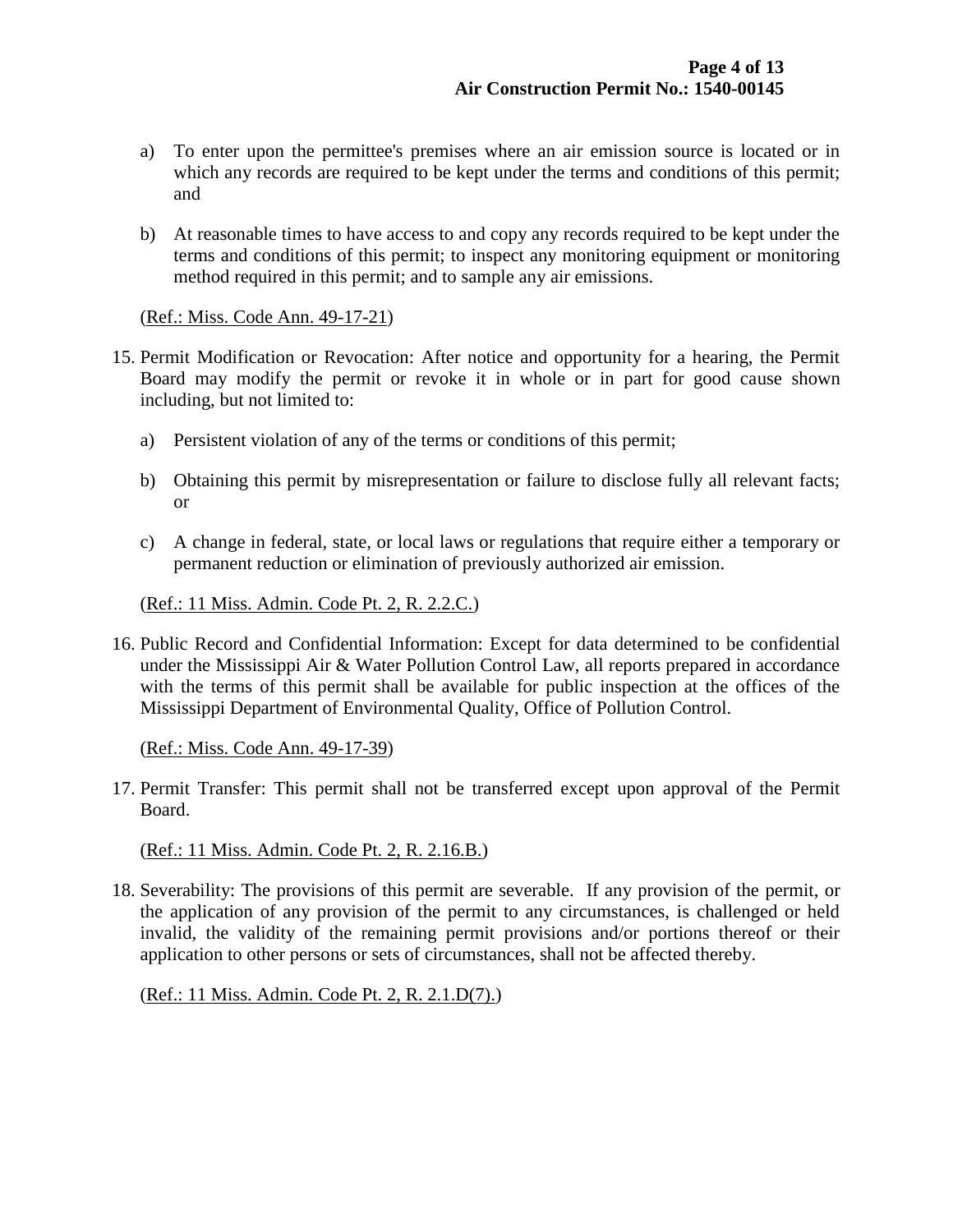- a) To enter upon the permittee's premises where an air emission source is located or in which any records are required to be kept under the terms and conditions of this permit; and
- b) At reasonable times to have access to and copy any records required to be kept under the terms and conditions of this permit; to inspect any monitoring equipment or monitoring method required in this permit; and to sample any air emissions.

(Ref.: Miss. Code Ann. 49-17-21)

- 15. Permit Modification or Revocation: After notice and opportunity for a hearing, the Permit Board may modify the permit or revoke it in whole or in part for good cause shown including, but not limited to:
	- a) Persistent violation of any of the terms or conditions of this permit;
	- b) Obtaining this permit by misrepresentation or failure to disclose fully all relevant facts; or
	- c) A change in federal, state, or local laws or regulations that require either a temporary or permanent reduction or elimination of previously authorized air emission.

(Ref.: 11 Miss. Admin. Code Pt. 2, R. 2.2.C.)

16. Public Record and Confidential Information: Except for data determined to be confidential under the Mississippi Air & Water Pollution Control Law, all reports prepared in accordance with the terms of this permit shall be available for public inspection at the offices of the Mississippi Department of Environmental Quality, Office of Pollution Control.

(Ref.: Miss. Code Ann. 49-17-39)

17. Permit Transfer: This permit shall not be transferred except upon approval of the Permit Board.

(Ref.: 11 Miss. Admin. Code Pt. 2, R. 2.16.B.)

18. Severability: The provisions of this permit are severable. If any provision of the permit, or the application of any provision of the permit to any circumstances, is challenged or held invalid, the validity of the remaining permit provisions and/or portions thereof or their application to other persons or sets of circumstances, shall not be affected thereby.

(Ref.: 11 Miss. Admin. Code Pt. 2, R. 2.1.D(7).)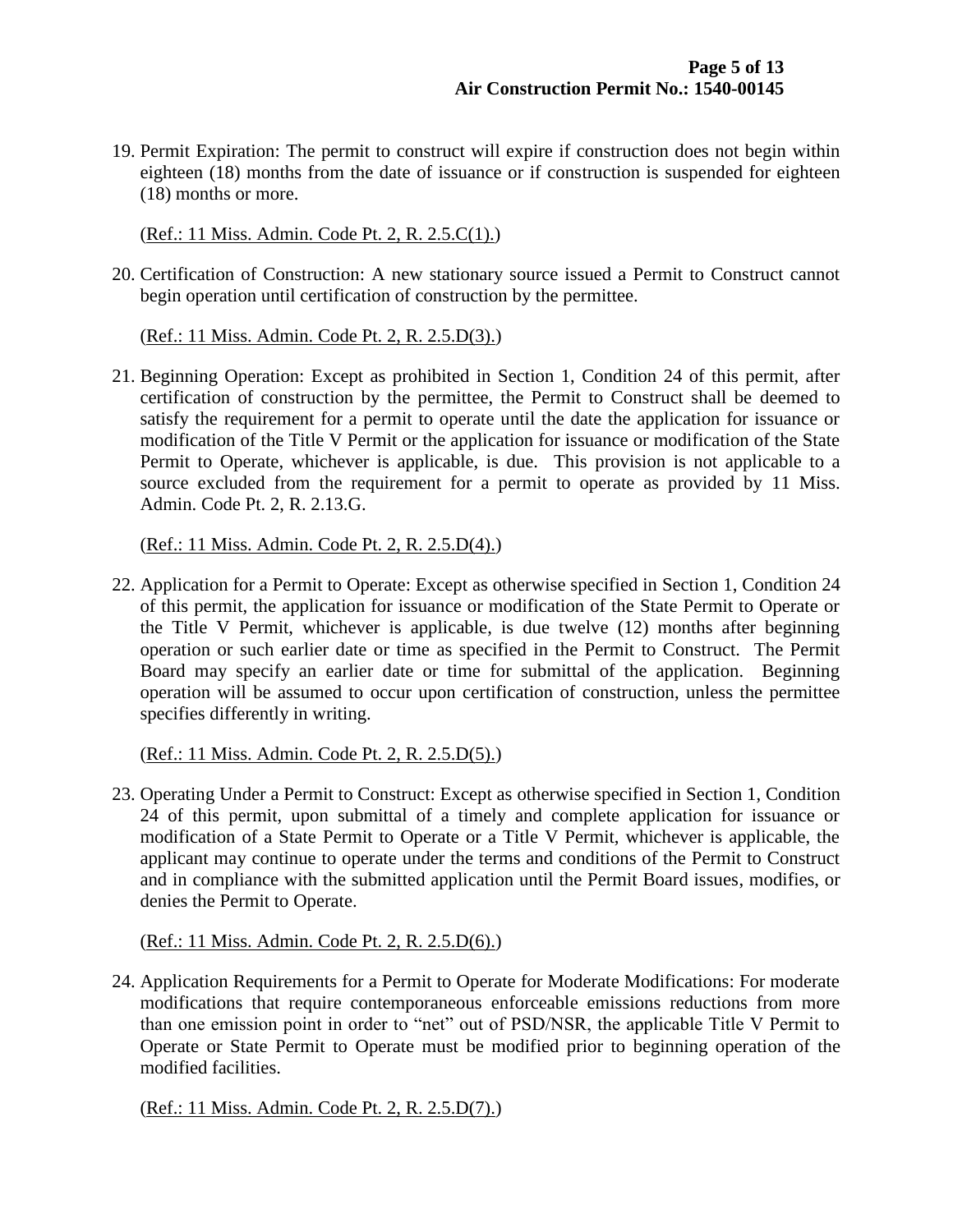19. Permit Expiration: The permit to construct will expire if construction does not begin within eighteen (18) months from the date of issuance or if construction is suspended for eighteen (18) months or more.

(Ref.: 11 Miss. Admin. Code Pt. 2, R. 2.5.C(1).)

20. Certification of Construction: A new stationary source issued a Permit to Construct cannot begin operation until certification of construction by the permittee.

(Ref.: 11 Miss. Admin. Code Pt. 2, R. 2.5.D(3).)

21. Beginning Operation: Except as prohibited in Section 1, Condition 24 of this permit, after certification of construction by the permittee, the Permit to Construct shall be deemed to satisfy the requirement for a permit to operate until the date the application for issuance or modification of the Title V Permit or the application for issuance or modification of the State Permit to Operate, whichever is applicable, is due. This provision is not applicable to a source excluded from the requirement for a permit to operate as provided by 11 Miss. Admin. Code Pt. 2, R. 2.13.G.

(Ref.: 11 Miss. Admin. Code Pt. 2, R. 2.5.D(4).)

22. Application for a Permit to Operate: Except as otherwise specified in Section 1, Condition 24 of this permit, the application for issuance or modification of the State Permit to Operate or the Title V Permit, whichever is applicable, is due twelve (12) months after beginning operation or such earlier date or time as specified in the Permit to Construct. The Permit Board may specify an earlier date or time for submittal of the application. Beginning operation will be assumed to occur upon certification of construction, unless the permittee specifies differently in writing.

(Ref.: 11 Miss. Admin. Code Pt. 2, R. 2.5.D(5).)

23. Operating Under a Permit to Construct: Except as otherwise specified in Section 1, Condition 24 of this permit, upon submittal of a timely and complete application for issuance or modification of a State Permit to Operate or a Title V Permit, whichever is applicable, the applicant may continue to operate under the terms and conditions of the Permit to Construct and in compliance with the submitted application until the Permit Board issues, modifies, or denies the Permit to Operate.

(Ref.: 11 Miss. Admin. Code Pt. 2, R. 2.5.D(6).)

24. Application Requirements for a Permit to Operate for Moderate Modifications: For moderate modifications that require contemporaneous enforceable emissions reductions from more than one emission point in order to "net" out of PSD/NSR, the applicable Title V Permit to Operate or State Permit to Operate must be modified prior to beginning operation of the modified facilities.

(Ref.: 11 Miss. Admin. Code Pt. 2, R. 2.5.D(7).)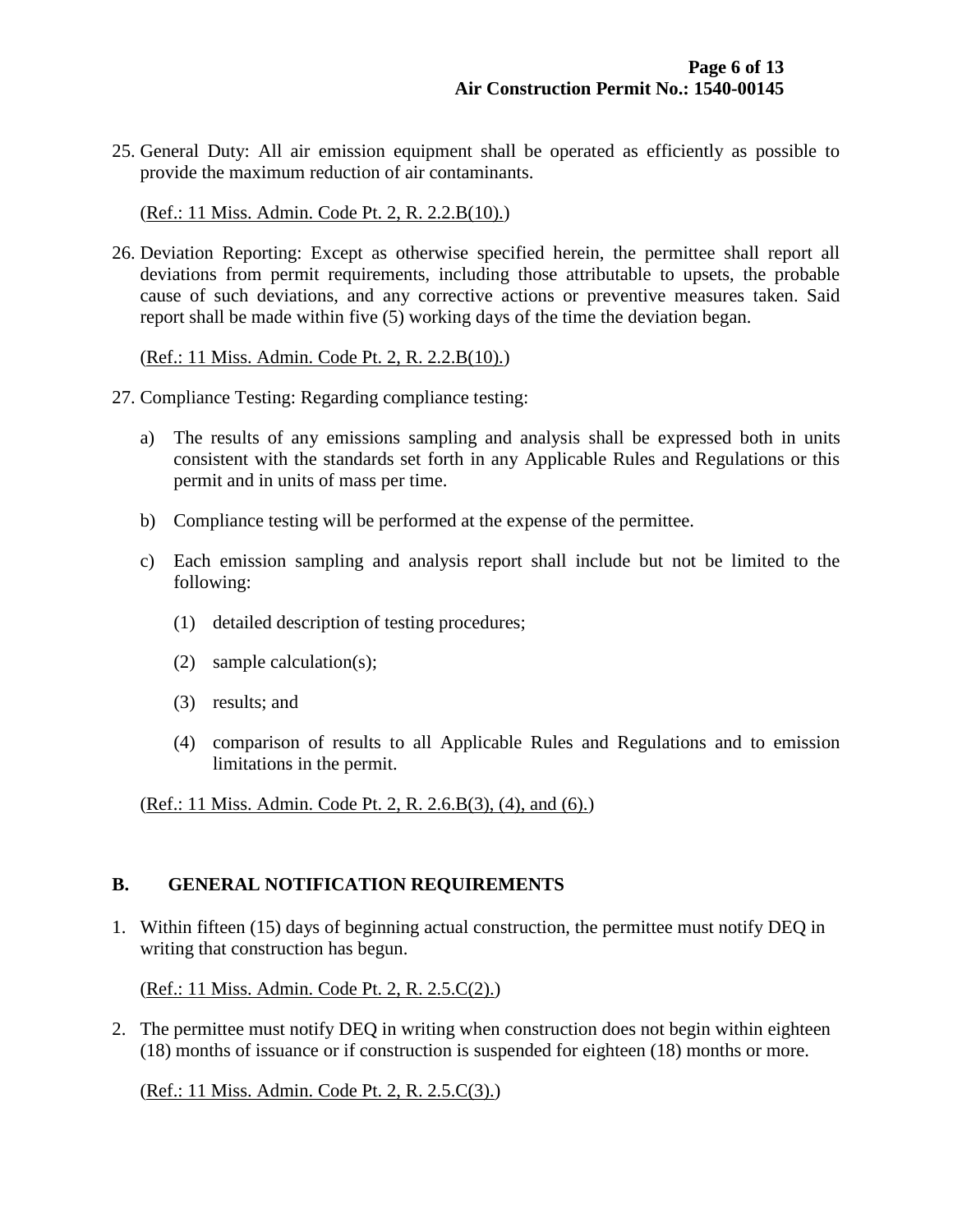25. General Duty: All air emission equipment shall be operated as efficiently as possible to provide the maximum reduction of air contaminants.

(Ref.: 11 Miss. Admin. Code Pt. 2, R. 2.2.B(10).)

26. Deviation Reporting: Except as otherwise specified herein, the permittee shall report all deviations from permit requirements, including those attributable to upsets, the probable cause of such deviations, and any corrective actions or preventive measures taken. Said report shall be made within five (5) working days of the time the deviation began.

(Ref.: 11 Miss. Admin. Code Pt. 2, R. 2.2.B(10).)

- 27. Compliance Testing: Regarding compliance testing:
	- a) The results of any emissions sampling and analysis shall be expressed both in units consistent with the standards set forth in any Applicable Rules and Regulations or this permit and in units of mass per time.
	- b) Compliance testing will be performed at the expense of the permittee.
	- c) Each emission sampling and analysis report shall include but not be limited to the following:
		- (1) detailed description of testing procedures;
		- (2) sample calculation(s);
		- (3) results; and
		- (4) comparison of results to all Applicable Rules and Regulations and to emission limitations in the permit.

(Ref.: 11 Miss. Admin. Code Pt. 2, R. 2.6.B(3), (4), and (6).)

#### **B. GENERAL NOTIFICATION REQUIREMENTS**

1. Within fifteen (15) days of beginning actual construction, the permittee must notify DEQ in writing that construction has begun.

(Ref.: 11 Miss. Admin. Code Pt. 2, R. 2.5.C(2).)

2. The permittee must notify DEQ in writing when construction does not begin within eighteen (18) months of issuance or if construction is suspended for eighteen (18) months or more.

(Ref.: 11 Miss. Admin. Code Pt. 2, R. 2.5.C(3).)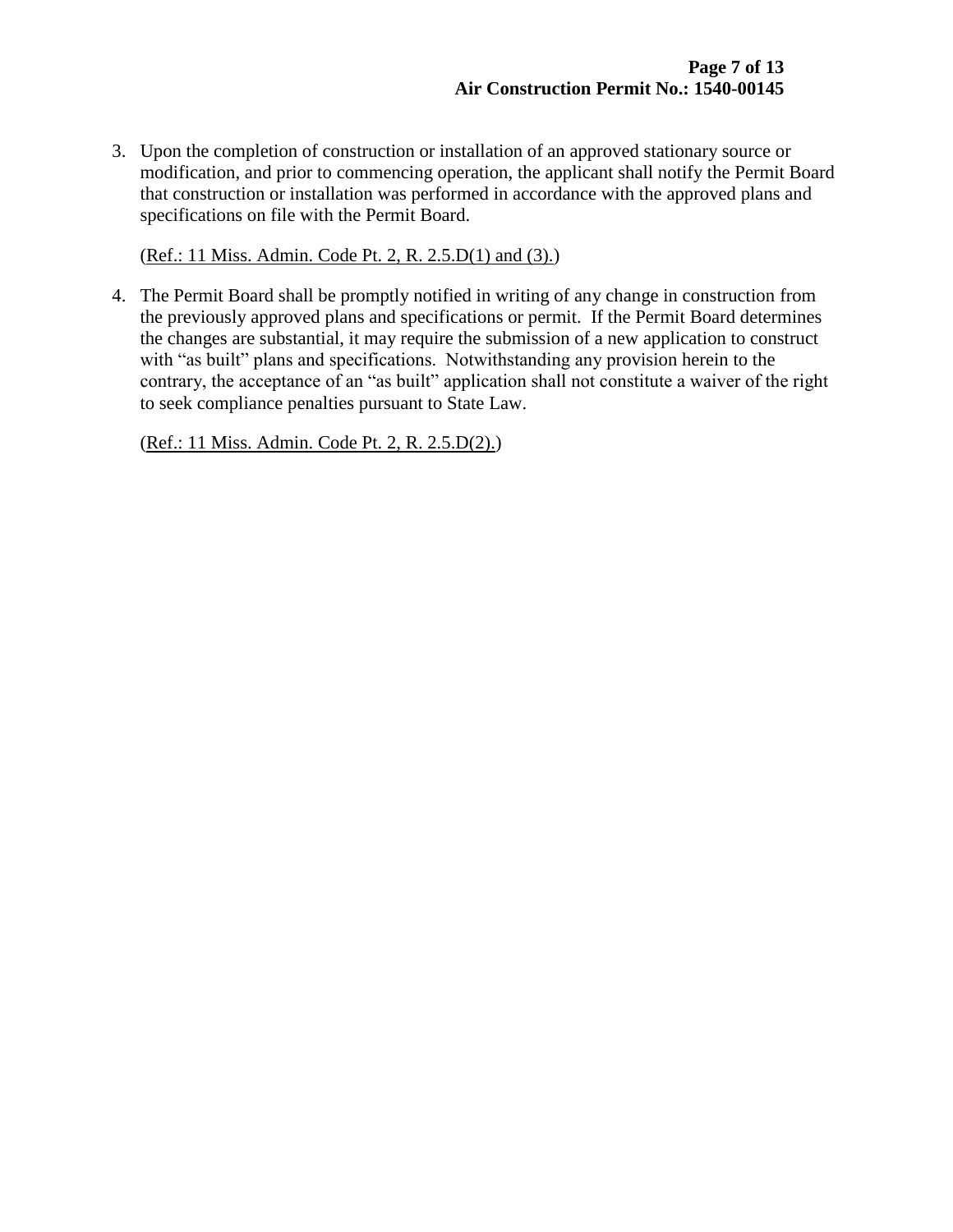3. Upon the completion of construction or installation of an approved stationary source or modification, and prior to commencing operation, the applicant shall notify the Permit Board that construction or installation was performed in accordance with the approved plans and specifications on file with the Permit Board.

(Ref.: 11 Miss. Admin. Code Pt. 2, R. 2.5.D(1) and (3).)

4. The Permit Board shall be promptly notified in writing of any change in construction from the previously approved plans and specifications or permit. If the Permit Board determines the changes are substantial, it may require the submission of a new application to construct with "as built" plans and specifications. Notwithstanding any provision herein to the contrary, the acceptance of an "as built" application shall not constitute a waiver of the right to seek compliance penalties pursuant to State Law.

(Ref.: 11 Miss. Admin. Code Pt. 2, R. 2.5.D(2).)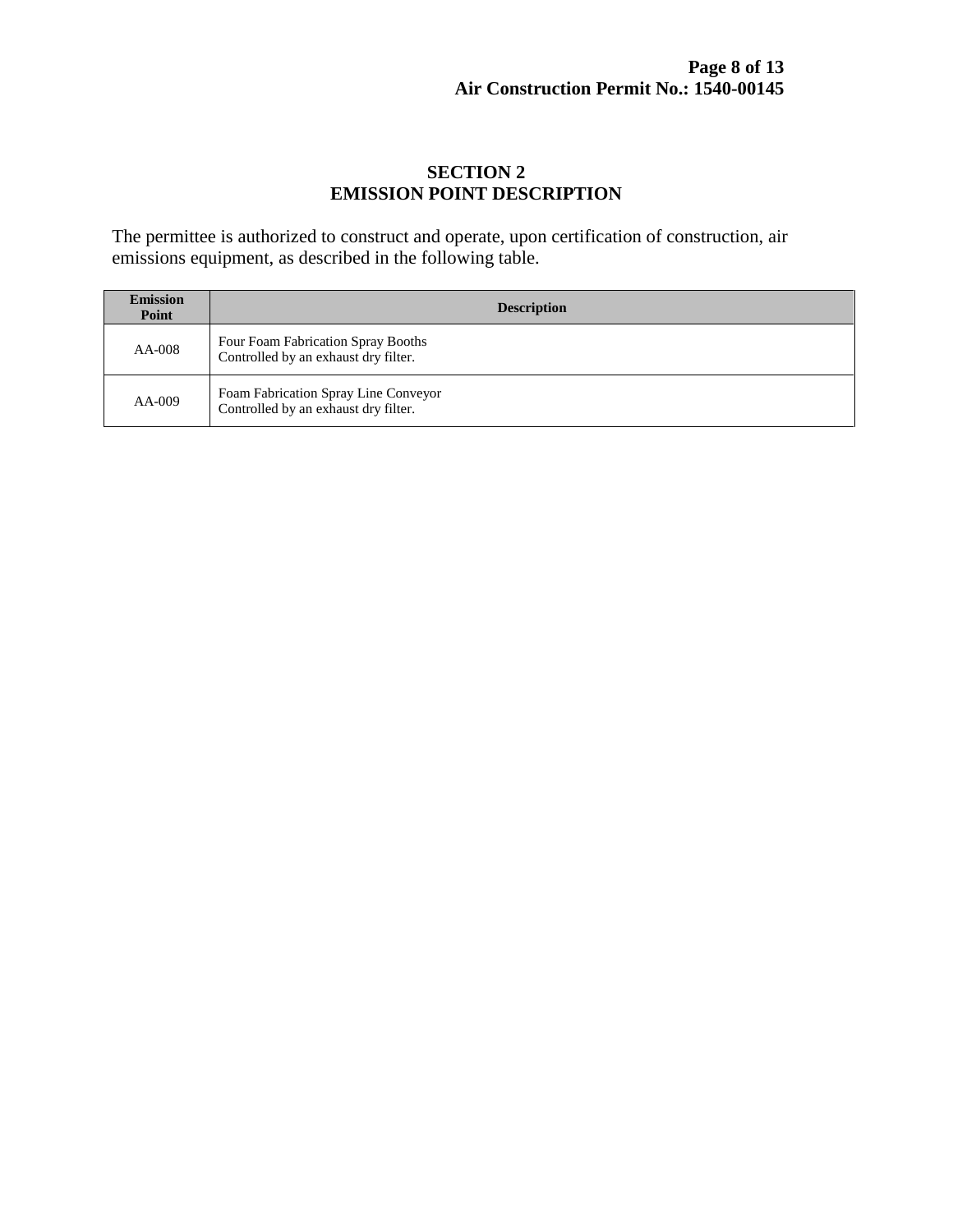#### **SECTION 2 EMISSION POINT DESCRIPTION**

The permittee is authorized to construct and operate, upon certification of construction, air emissions equipment, as described in the following table.

| <b>Emission</b><br>Point | <b>Description</b>                                                           |
|--------------------------|------------------------------------------------------------------------------|
| AA-008                   | Four Foam Fabrication Spray Booths<br>Controlled by an exhaust dry filter.   |
| $AA-009$                 | Foam Fabrication Spray Line Conveyor<br>Controlled by an exhaust dry filter. |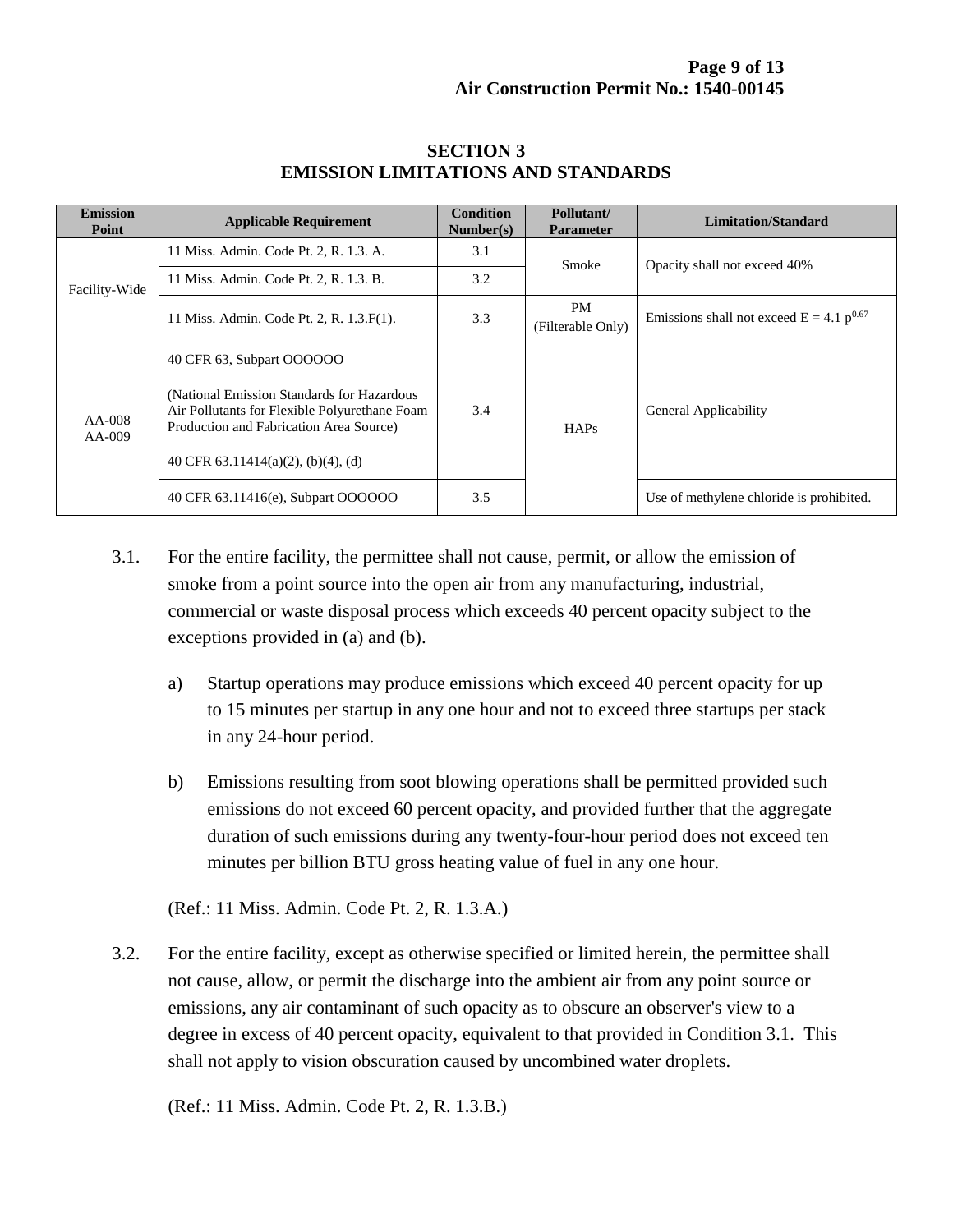| <b>Emission</b><br>Point | <b>Applicable Requirement</b>                                                                                                                                                    | <b>Condition</b><br>Number(s) | Pollutant/<br><b>Parameter</b> | <b>Limitation/Standard</b>                    |
|--------------------------|----------------------------------------------------------------------------------------------------------------------------------------------------------------------------------|-------------------------------|--------------------------------|-----------------------------------------------|
| Facility-Wide            | 11 Miss. Admin. Code Pt. 2, R. 1.3. A.                                                                                                                                           | 3.1                           | Smoke                          | Opacity shall not exceed 40%                  |
|                          | 11 Miss. Admin. Code Pt. 2, R. 1.3. B.                                                                                                                                           | 3.2                           |                                |                                               |
|                          | 11 Miss. Admin. Code Pt. 2, R. 1.3. F(1).                                                                                                                                        | 3.3                           | <b>PM</b><br>(Filterable Only) | Emissions shall not exceed $E = 4.1 p^{0.67}$ |
| AA-008<br>$AA-009$       | 40 CFR 63, Subpart OOOOOO                                                                                                                                                        |                               |                                |                                               |
|                          | (National Emission Standards for Hazardous)<br>Air Pollutants for Flexible Polyurethane Foam<br>Production and Fabrication Area Source)<br>40 CFR $63.11414(a)(2)$ , (b)(4), (d) | 3.4                           | HAPs                           | General Applicability                         |
|                          | 40 CFR 63.11416(e), Subpart OOOOOO                                                                                                                                               | 3.5                           |                                | Use of methylene chloride is prohibited.      |

#### **SECTION 3 EMISSION LIMITATIONS AND STANDARDS**

- 3.1. For the entire facility, the permittee shall not cause, permit, or allow the emission of smoke from a point source into the open air from any manufacturing, industrial, commercial or waste disposal process which exceeds 40 percent opacity subject to the exceptions provided in (a) and (b).
	- a) Startup operations may produce emissions which exceed 40 percent opacity for up to 15 minutes per startup in any one hour and not to exceed three startups per stack in any 24-hour period.
	- b) Emissions resulting from soot blowing operations shall be permitted provided such emissions do not exceed 60 percent opacity, and provided further that the aggregate duration of such emissions during any twenty-four-hour period does not exceed ten minutes per billion BTU gross heating value of fuel in any one hour.

#### (Ref.: 11 Miss. Admin. Code Pt. 2, R. 1.3.A.)

3.2. For the entire facility, except as otherwise specified or limited herein, the permittee shall not cause, allow, or permit the discharge into the ambient air from any point source or emissions, any air contaminant of such opacity as to obscure an observer's view to a degree in excess of 40 percent opacity, equivalent to that provided in Condition 3.1. This shall not apply to vision obscuration caused by uncombined water droplets.

(Ref.: 11 Miss. Admin. Code Pt. 2, R. 1.3.B.)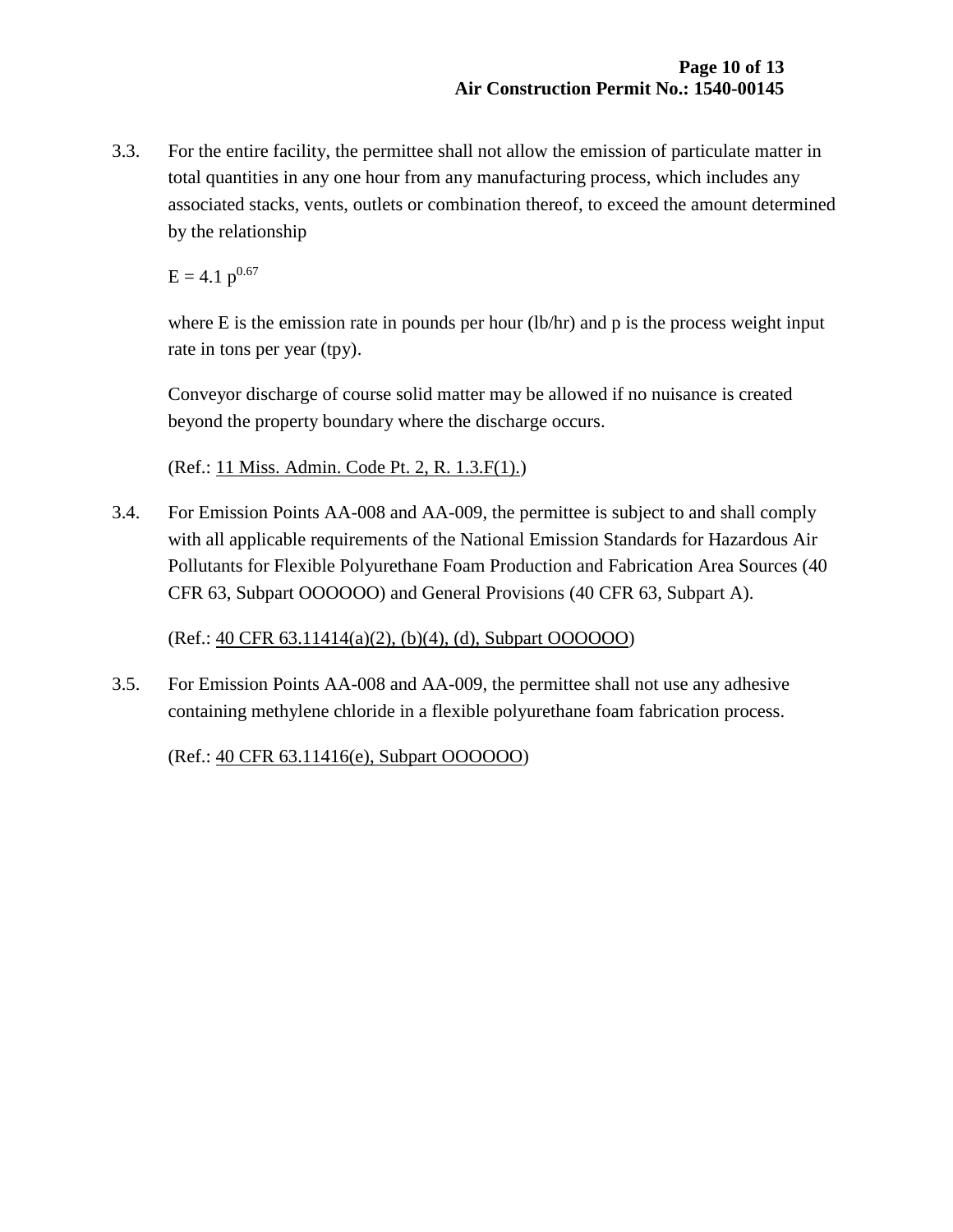3.3. For the entire facility, the permittee shall not allow the emission of particulate matter in total quantities in any one hour from any manufacturing process, which includes any associated stacks, vents, outlets or combination thereof, to exceed the amount determined by the relationship

 $E = 4.1 p^{0.67}$ 

where  $E$  is the emission rate in pounds per hour (lb/hr) and  $p$  is the process weight input rate in tons per year (tpy).

Conveyor discharge of course solid matter may be allowed if no nuisance is created beyond the property boundary where the discharge occurs.

(Ref.: 11 Miss. Admin. Code Pt. 2, R. 1.3.F(1).)

3.4. For Emission Points AA-008 and AA-009, the permittee is subject to and shall comply with all applicable requirements of the National Emission Standards for Hazardous Air Pollutants for Flexible Polyurethane Foam Production and Fabrication Area Sources (40 CFR 63, Subpart OOOOOO) and General Provisions (40 CFR 63, Subpart A).

(Ref.: 40 CFR 63.11414(a)(2), (b)(4), (d), Subpart OOOOOO)

3.5. For Emission Points AA-008 and AA-009, the permittee shall not use any adhesive containing methylene chloride in a flexible polyurethane foam fabrication process.

(Ref.: 40 CFR 63.11416(e), Subpart OOOOOO)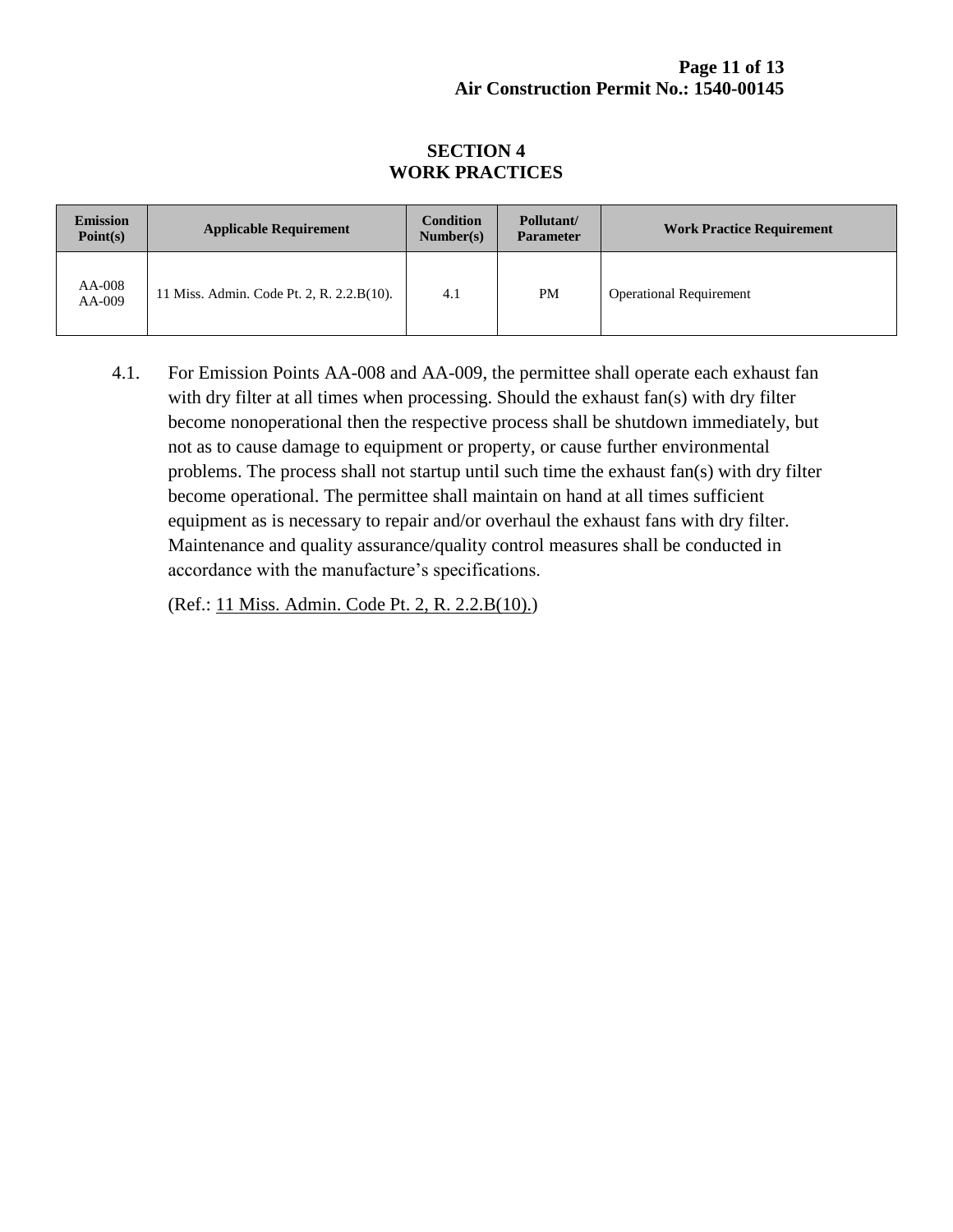#### **Page 11 of 13 Air Construction Permit No.: 1540-00145**

#### **SECTION 4 WORK PRACTICES**

| <b>Emission</b><br>Point(s) | <b>Applicable Requirement</b>             | <b>Condition</b><br>Number(s) | Pollutant/<br><b>Parameter</b> | <b>Work Practice Requirement</b> |
|-----------------------------|-------------------------------------------|-------------------------------|--------------------------------|----------------------------------|
| AA-008<br>$AA-009$          | 11 Miss. Admin. Code Pt. 2, R. 2.2.B(10). | 4.1                           | PM                             | <b>Operational Requirement</b>   |

4.1. For Emission Points AA-008 and AA-009, the permittee shall operate each exhaust fan with dry filter at all times when processing. Should the exhaust fan(s) with dry filter become nonoperational then the respective process shall be shutdown immediately, but not as to cause damage to equipment or property, or cause further environmental problems. The process shall not startup until such time the exhaust fan(s) with dry filter become operational. The permittee shall maintain on hand at all times sufficient equipment as is necessary to repair and/or overhaul the exhaust fans with dry filter. Maintenance and quality assurance/quality control measures shall be conducted in accordance with the manufacture's specifications.

(Ref.: 11 Miss. Admin. Code Pt. 2, R. 2.2.B(10).)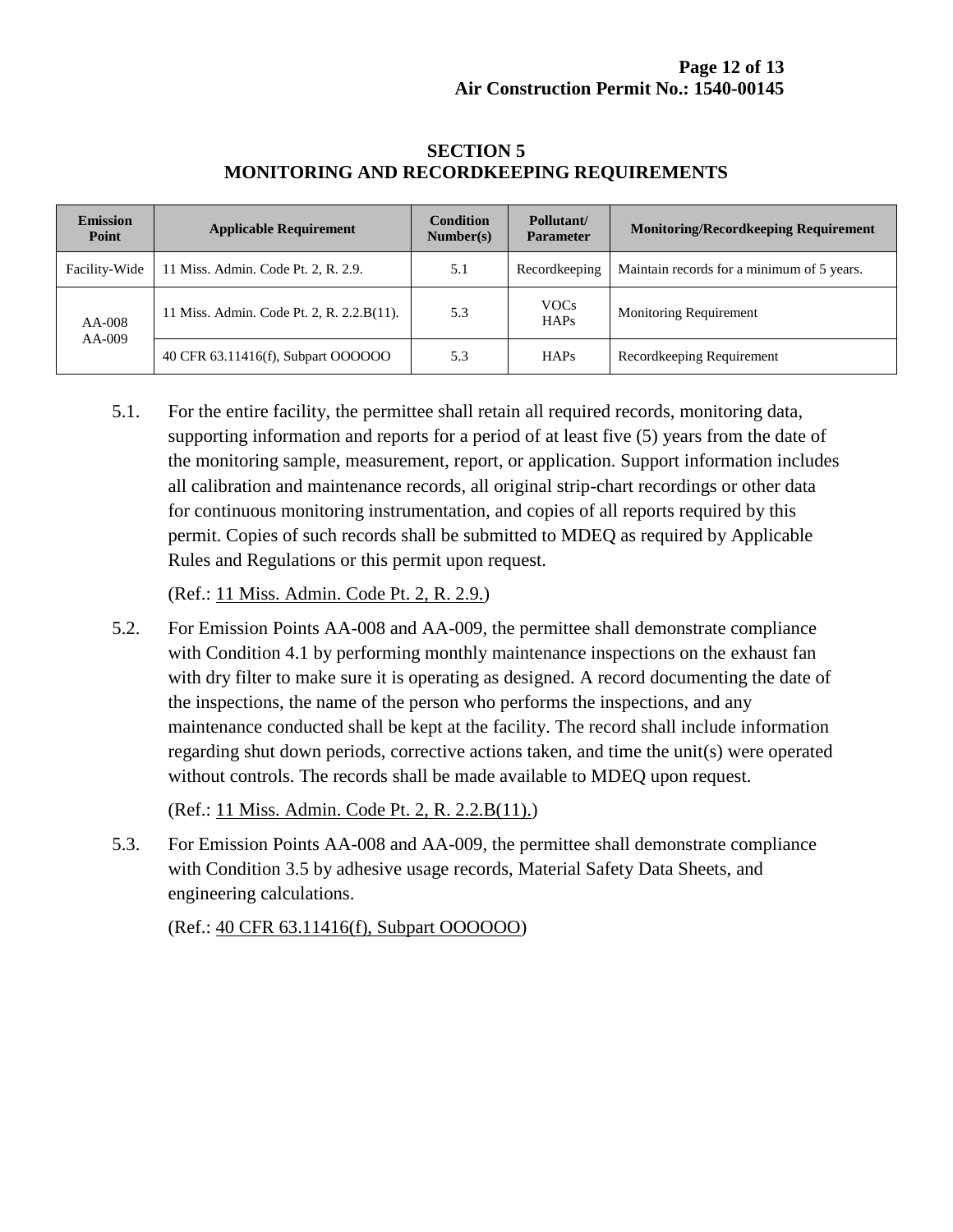| <b>Emission</b><br>Point | <b>Applicable Requirement</b>             | <b>Condition</b><br>Number(s) | Pollutant/<br><b>Parameter</b> | <b>Monitoring/Recordkeeping Requirement</b> |
|--------------------------|-------------------------------------------|-------------------------------|--------------------------------|---------------------------------------------|
| Facility-Wide            | 11 Miss. Admin. Code Pt. 2, R. 2.9.       | 5.1                           | Recordkeeping                  | Maintain records for a minimum of 5 years.  |
| AA-008<br>AA-009         | 11 Miss. Admin. Code Pt. 2, R. 2.2.B(11). | 5.3                           | <b>VOCs</b><br><b>HAPs</b>     | <b>Monitoring Requirement</b>               |
|                          | 40 CFR 63.11416(f), Subpart OOOOOO        | 5.3                           | <b>HAPs</b>                    | Recordkeeping Requirement                   |

#### **SECTION 5 MONITORING AND RECORDKEEPING REQUIREMENTS**

5.1. For the entire facility, the permittee shall retain all required records, monitoring data, supporting information and reports for a period of at least five (5) years from the date of the monitoring sample, measurement, report, or application. Support information includes all calibration and maintenance records, all original strip-chart recordings or other data for continuous monitoring instrumentation, and copies of all reports required by this permit. Copies of such records shall be submitted to MDEQ as required by Applicable Rules and Regulations or this permit upon request.

(Ref.: 11 Miss. Admin. Code Pt. 2, R. 2.9.)

5.2. For Emission Points AA-008 and AA-009, the permittee shall demonstrate compliance with Condition 4.1 by performing monthly maintenance inspections on the exhaust fan with dry filter to make sure it is operating as designed. A record documenting the date of the inspections, the name of the person who performs the inspections, and any maintenance conducted shall be kept at the facility. The record shall include information regarding shut down periods, corrective actions taken, and time the unit(s) were operated without controls. The records shall be made available to MDEQ upon request.

(Ref.: 11 Miss. Admin. Code Pt. 2, R. 2.2.B(11).)

5.3. For Emission Points AA-008 and AA-009, the permittee shall demonstrate compliance with Condition 3.5 by adhesive usage records, Material Safety Data Sheets, and engineering calculations.

(Ref.: 40 CFR 63.11416(f), Subpart OOOOOO)